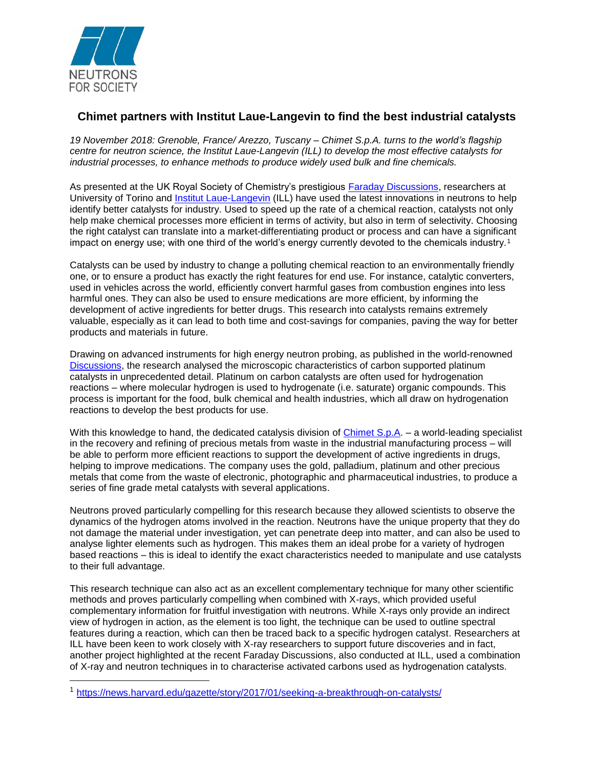

 $\overline{a}$ 

## **Chimet partners with Institut Laue-Langevin to find the best industrial catalysts**

*19 November 2018: Grenoble, France/ Arezzo, Tuscany – Chimet S.p.A. turns to the world's flagship centre for neutron science, the Institut Laue-Langevin (ILL) to develop the most effective catalysts for industrial processes, to enhance methods to produce widely used bulk and fine chemicals.*

As presented at the UK Royal Society of Chemistry's prestigious [Faraday Discussions,](http://pubs.rsc.org/en/journals/journalissues/fd?_ga=2.61639788.1100037562.1535964372-1636035327.1533132880#!issueid=fd018208&type=current&issnprint=1359-6640) researchers at University of Torino and [Institut Laue-Langevin](https://www.ill.eu/news-press-events/news/scientific-news/detail/actualites/illess-european-neutron-user-meeting-10-12-october-2018/) (ILL) have used the latest innovations in neutrons to help identify better catalysts for industry. Used to speed up the rate of a chemical reaction, catalysts not only help make chemical processes more efficient in terms of activity, but also in term of selectivity. Choosing the right catalyst can translate into a market-differentiating product or process and can have a significant impact on energy use; with one third of the world's energy currently devoted to the chemicals industry.<sup>1</sup>

Catalysts can be used by industry to change a polluting chemical reaction to an environmentally friendly one, or to ensure a product has exactly the right features for end use. For instance, catalytic converters, used in vehicles across the world, efficiently convert harmful gases from combustion engines into less harmful ones. They can also be used to ensure medications are more efficient, by informing the development of active ingredients for better drugs. This research into catalysts remains extremely valuable, especially as it can lead to both time and cost-savings for companies, paving the way for better products and materials in future.

Drawing on advanced instruments for high energy neutron probing, as published in the world-renowned [Discussions,](http://pubs.rsc.org/en/journals/journalissues/fd?_ga=2.61639788.1100037562.1535964372-1636035327.1533132880#!issueid=fd018208&type=current&issnprint=1359-6640) the research analysed the microscopic characteristics of carbon supported platinum catalysts in unprecedented detail. Platinum on carbon catalysts are often used for hydrogenation reactions – where molecular hydrogen is used to hydrogenate (i.e. saturate) organic compounds. This process is important for the food, bulk chemical and health industries, which all draw on hydrogenation reactions to develop the best products for use.

With this knowledge to hand, the dedicated catalysis division of [Chimet S.p.A.](http://www.chimet.com/en/home) – a world-leading specialist in the recovery and refining of precious metals from waste in the industrial manufacturing process – will be able to perform more efficient reactions to support the development of active ingredients in drugs, helping to improve medications. The company uses the gold, palladium, platinum and other precious metals that come from the waste of electronic, photographic and pharmaceutical industries, to produce a series of fine grade metal catalysts with several applications.

Neutrons proved particularly compelling for this research because they allowed scientists to observe the dynamics of the hydrogen atoms involved in the reaction. Neutrons have the unique property that they do not damage the material under investigation, yet can penetrate deep into matter, and can also be used to analyse lighter elements such as hydrogen. This makes them an ideal probe for a variety of hydrogen based reactions – this is ideal to identify the exact characteristics needed to manipulate and use catalysts to their full advantage.

This research technique can also act as an excellent complementary technique for many other scientific methods and proves particularly compelling when combined with X-rays, which provided useful complementary information for fruitful investigation with neutrons. While X-rays only provide an indirect view of hydrogen in action, as the element is too light, the technique can be used to outline spectral features during a reaction, which can then be traced back to a specific hydrogen catalyst. Researchers at ILL have been keen to work closely with X-ray researchers to support future discoveries and in fact, another project highlighted at the recent Faraday Discussions, also conducted at ILL, used a combination of X-ray and neutron techniques in to characterise activated carbons used as hydrogenation catalysts.

<sup>1</sup> <https://news.harvard.edu/gazette/story/2017/01/seeking-a-breakthrough-on-catalysts/>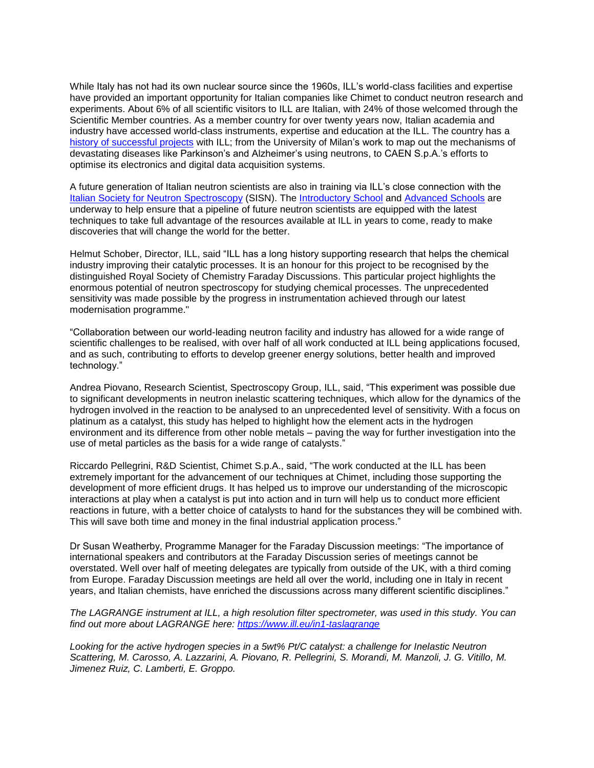While Italy has not had its own nuclear source since the 1960s, ILL's world-class facilities and expertise have provided an important opportunity for Italian companies like Chimet to conduct neutron research and experiments. About 6% of all scientific visitors to ILL are Italian, with 24% of those welcomed through the Scientific Member countries. As a member country for over twenty years now, Italian academia and industry have accessed world-class instruments, expertise and education at the ILL. The country has a [history of successful projects](https://www.ill.eu/news-press-events/press-corner/press-releases/italy-celebrates-20-years-of-scientific-excellence-through-membership-of-the-institut-laue-langevin5102017/) with ILL; from the University of Milan's work to map out the mechanisms of devastating diseases like Parkinson's and Alzheimer's using neutrons, to CAEN S.p.A.'s efforts to optimise its electronics and digital data acquisition systems.

A future generation of Italian neutron scientists are also in training via ILL's close connection with the [Italian Society](https://neutronsources.org/neutron-centres/europe/sisn.html) for Neutron Spectroscopy (SISN). The [Introductory School](http://www.sisn.it/formazione/giornate-didattiche/) and [Advanced Schools](http://www.fill2030.eu/events/sisn-advanced-school-2018/) are underway to help ensure that a pipeline of future neutron scientists are equipped with the latest techniques to take full advantage of the resources available at ILL in years to come, ready to make discoveries that will change the world for the better.

Helmut Schober, Director, ILL, said "ILL has a long history supporting research that helps the chemical industry improving their catalytic processes. It is an honour for this project to be recognised by the distinguished Royal Society of Chemistry Faraday Discussions. This particular project highlights the enormous potential of neutron spectroscopy for studying chemical processes. The unprecedented sensitivity was made possible by the progress in instrumentation achieved through our latest modernisation programme."

"Collaboration between our world-leading neutron facility and industry has allowed for a wide range of scientific challenges to be realised, with over half of all work conducted at ILL being applications focused, and as such, contributing to efforts to develop greener energy solutions, better health and improved technology."

Andrea Piovano, Research Scientist, Spectroscopy Group, ILL, said, "This experiment was possible due to significant developments in neutron inelastic scattering techniques, which allow for the dynamics of the hydrogen involved in the reaction to be analysed to an unprecedented level of sensitivity. With a focus on platinum as a catalyst, this study has helped to highlight how the element acts in the hydrogen environment and its difference from other noble metals – paving the way for further investigation into the use of metal particles as the basis for a wide range of catalysts."

Riccardo Pellegrini, R&D Scientist, Chimet S.p.A., said, "The work conducted at the ILL has been extremely important for the advancement of our techniques at Chimet, including those supporting the development of more efficient drugs. It has helped us to improve our understanding of the microscopic interactions at play when a catalyst is put into action and in turn will help us to conduct more efficient reactions in future, with a better choice of catalysts to hand for the substances they will be combined with. This will save both time and money in the final industrial application process."

Dr Susan Weatherby, Programme Manager for the Faraday Discussion meetings: "The importance of international speakers and contributors at the Faraday Discussion series of meetings cannot be overstated. Well over half of meeting delegates are typically from outside of the UK, with a third coming from Europe. Faraday Discussion meetings are held all over the world, including one in Italy in recent years, and Italian chemists, have enriched the discussions across many different scientific disciplines."

## *The LAGRANGE instrument at ILL, a high resolution filter spectrometer, was used in this study. You can find out more about LAGRANGE here: <https://www.ill.eu/in1-taslagrange>*

*Looking for the active hydrogen species in a 5wt% Pt/C catalyst: a challenge for Inelastic Neutron Scattering, M. Carosso, A. Lazzarini, A. Piovano, R. Pellegrini, S. Morandi, M. Manzoli, J. G. Vitillo, M. Jimenez Ruiz, C. Lamberti, E. Groppo.*